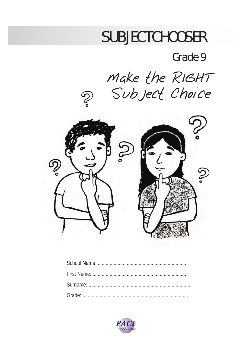# **SUBJECTCHOOSER**

## Grade 9

Make the RIGHT Subject Choice



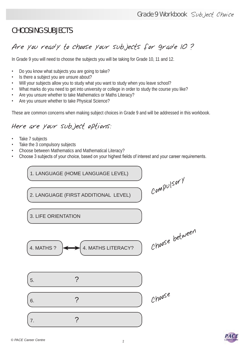#### CHOOSING SUBJECTS

#### Are you ready to choose your subjects for grade 10 ?

In Grade 9 you will need to choose the subjects you will be taking for Grade 10, 11 and 12.

- Do you know what subjects you are going to take?
- Is there a subject you are unsure about?
- Will your subjects allow you to study what you want to study when you leave school?
- What marks do you need to get into university or college in order to study the course you like?
- Are you unsure whether to take Mathematics or Maths Literacy?
- Are you unsure whether to take Physical Science?

These are common concerns when making subject choices in Grade 9 and will be addressed in this workbook.

#### Here are your subject options:

- Take 7 subjects
- Take the 3 compulsory subjects
- Choose between Mathematics and Mathematical Literacy?
- Choose 3 subjects of your choice, based on your highest fields of interest and your career requirements.

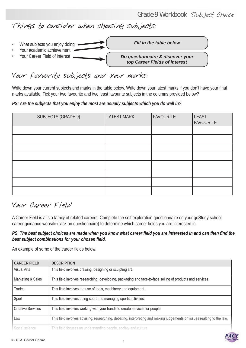Things to consider when choosing subjects:



#### Your favourite subjects and your marks:

Write down your current subjects and marks in the table below. Write down your latest marks if you don't have your final marks available. Tick your two favourite and two least favourite subjects in the columns provided below?

*PS: Are the subjects that you enjoy the most are usually subjects which you do well in?*

| SUBJECTS (GRADE 9) | <b>LATEST MARK</b> | <b>FAVOURITE</b> | LEAST<br><b>FAVOURITE</b> |
|--------------------|--------------------|------------------|---------------------------|
|                    |                    |                  |                           |
|                    |                    |                  |                           |
|                    |                    |                  |                           |
|                    |                    |                  |                           |
|                    |                    |                  |                           |
|                    |                    |                  |                           |
|                    |                    |                  |                           |
|                    |                    |                  |                           |

#### Your Career Field

A Career Field is a is a family of related careers. Complete the self exploration questionnaire on your goStudy school career guidance website (click on questionnaire) to determine which career fields you are interested in.

*PS. The best subject choices are made when you know what career field you are interested in and can then find the best subject combinations for your chosen field.* 

An example of some of the career fields below.

| <b>CAREER FIELD</b>      | <b>DESCRIPTION</b>                                                                                                     |
|--------------------------|------------------------------------------------------------------------------------------------------------------------|
| Visual Arts              | This field involves drawing, designing or sculpting art.                                                               |
| Marketing & Sales        | This field involves researching, developing, packaging and face-to-face selling of products and services.              |
| <b>Trades</b>            | This field involves the use of tools, machinery and equipment.                                                         |
| Sport                    | This field involves doing sport and managing sports activities.                                                        |
| <b>Creative Services</b> | This field involves working with your hands to create services for people.                                             |
| Law                      | This field involves advising, researching, debating, interpreting and making judgements on issues realting to the law. |
| Social science           | This field focuses on understanding people, society and culture.                                                       |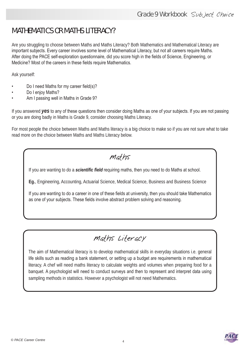#### MATHEMATICS OR MATHS LITERACY?

Are you struggling to choose between Maths and Maths Literacy? Both Mathematics and Mathematical Literacy are important subjects. Every career involves some level of Mathematical Literacy, but not all careers require Maths. After doing the PACE self-exploration questionnaire, did you score high in the fields of Science, Engineering, or Medicine? Most of the careers in these fields require Mathematics.

Ask yourself:

- Do I need Maths for my career field(s)?
- Do I enjoy Maths?
- Am I passing well in Maths in Grade 9?

If you answered *yes* to any of these questions then consider doing Maths as one of your subjects. If you are not passing or you are doing badly in Maths is Grade 9, consider choosing Maths Literacy.

For most people the choice between Maths and Maths literacy is a big choice to make so if you are not sure what to take read more on the choice between Maths and Maths Literacy below.

#### Maths

If you are wanting to do a *scientific field* requiring maths, then you need to do Maths at school.

**Eg.**, Engineering, Accounting, Actuarial Science, Medical Science, Business and Business Science

If you are wanting to do a career in one of these fields at university, then you should take Mathematics as one of your subjects. These fields involve abstract problem solving and reasoning.

### Maths Literacy

The aim of Mathematical literacy is to develop mathematical skills in everyday situations i.e. general life skills such as reading a bank statement, or setting up a budget are requirements in mathematical literacy. A chef will need maths literacy to calculate weights and volumes when preparing food for a banquet. A psychologist will need to conduct surveys and then to represent and interpret data using sampling methods in statistics. However a psychologist will not need Mathematics.

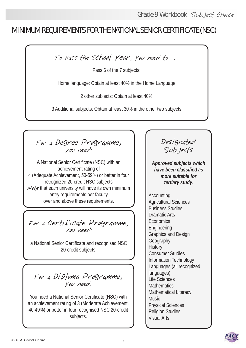#### MINIMUM REQUIREMENTS FOR THE NATIONAL SENIOR CERTIFICATE (NSC)

To pass the school year, you need to . . .

Pass 6 of the 7 subjects:

Home language: Obtain at least 40% in the Home Language

2 other subjects: Obtain at least 40%

3 Additional subjects: Obtain at least 30% in the other two subjects

For a Degree Programme, you need:

A National Senior Certificate (NSC) with an achievement rating of 4 (Adequate Achievement, 50-59%) or better in four recognized 20-credit NSC subjects  $\mathcal{N}$  of e that each university will have its own minimum entry requirements per faculty over and above these requirements.

For a Certificate Programme, you need:

a National Senior Certificate and recognised NSC 20-credit subjects.

For a Diploma Programme, you need:

You need a National Senior Certificate (NSC) with an achievement rating of 3 (Moderate Achievement, 40-49%) or better in four recognised NSC 20-credit subjects.

Designated Subjects

*Approved subjects which have been classified as more suitable for tertiary study.*

Accounting Agricultural Sciences Business Studies Dramatic Arts **Economics** Engineering Graphics and Design Geography **History** Consumer Studies Information Technology Languages (all recognized languages) Life Sciences **Mathematics** Mathematical Literacy **Music** Physical Sciences Religion Studies Visual Arts

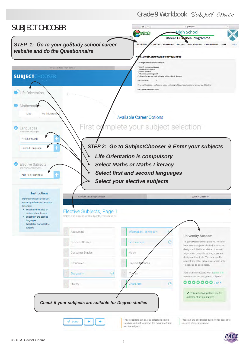Grade 9 Workbook Subject Choice



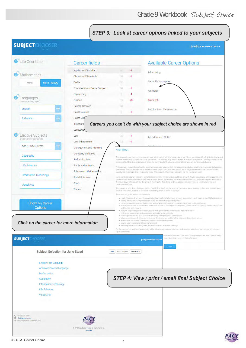#### *STEP 3: Look at career options linked to your subjects*

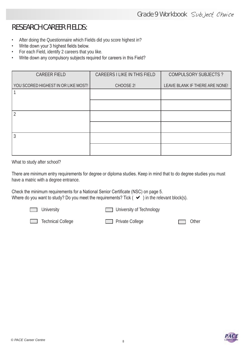#### RESEARCH CAREER FIELDS:

- After doing the Questionnaire which Fields did you score highest in?
- • Write down your 3 highest fields below.
- • For each Field, identify 2 careers that you like.
- Write down any compulsory subjects required for careers in this Field?

| <b>CAREER FIELD</b>                 | CAREERS I LIKE IN THIS FIELD | <b>COMPULSORY SUBJECTS?</b>    |
|-------------------------------------|------------------------------|--------------------------------|
| YOU SCORED HIGHEST IN OR LIKE MOST! | CHOOSE 2!                    | LEAVE BLANK IF THERE ARE NONE! |
|                                     |                              |                                |
|                                     |                              |                                |
|                                     |                              |                                |
|                                     |                              |                                |
|                                     |                              |                                |
|                                     |                              |                                |

What to study after school?

There are minimum entry requirements for degree or diploma studies. Keep in mind that to do degree studies you must have a matric with a degree entrance.

Check the minimum requirements for a National Senior Certificate (NSC) on page 5. Where do you want to study? Do you meet the requirements? Tick  $(\vee)$  in the relevant block(s).



University University **University** University of Technology



Technical College **Private College** Private College **Private College** Other